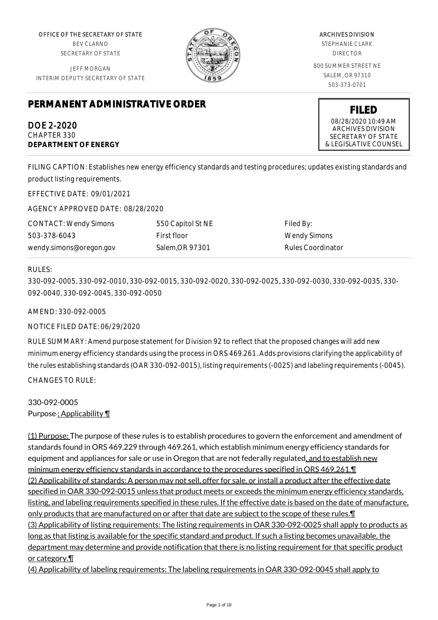OFFICE OF THE SECRETARY OF STATE BEV CLARNO SECRETARY OF STATE

JEFF MORGAN INTERIM DEPUTY SECRETARY OF STATE

# **PERMANENT ADMINISTRATIVE ORDER**

DOE 2-2020 CHAPTER 330 **DEPARTMENT OF ENERGY**

ARCHIVES DIVISION STEPHANIE CLARK DIRECTOR 800 SUMMER STREET NE SALEM, OR 97310 503-373-0701

> **FILED** 08/28/2020 10:49 AM ARCHIVES DIVISION SECRETARY OF STATE & LEGISLATIVE COUNSEL

FILING CAPTION: Establishes new energy efficiency standards and testing procedures; updates existing standards and product listing requirements.

EFFECTIVE DATE: 09/01/2021

AGENCY APPROVED DATE: 08/28/2020

CONTACT: Wendy Simons 503-378-6043 wendy.simons@oregon.gov 550 Capitol St NE First floor Salem,OR 97301

Filed By: Wendy Simons Rules Coordinator

#### RULES:

330-092-0005, 330-092-0010, 330-092-0015, 330-092-0020, 330-092-0025, 330-092-0030, 330-092-0035, 330- 092-0040, 330-092-0045, 330-092-0050

AMEND: 330-092-0005

NOTICE FILED DATE: 06/29/2020

RULE SUMMARY: Amend purpose statement for Division 92 to reflect that the proposed changes will add new minimum energy efficiency standards using the process in ORS 469.261. Adds provisions clarifying the applicability of the rules establishing standards (OAR 330-092-0015), listing requirements (-0025) and labeling requirements (-0045). CHANGES TO RULE:

330-092-0005 Purpose ; Applicability 1

(1) Purpose: The purpose of these rules is to establish procedures to govern the enforcement and amendment of standards found in ORS 469.229 through 469.261, which establish minimum energy efficiency standards for equipment and appliances for sale or use in Oregon that are not federally regulated, and to establish new minimum energy efficiency standards in accordance to the procedures specified in ORS 469.261.¶ (2) Applicability of standards: A person may not sell, offer for sale, or install a product after the effective date specified in OAR 330-092-0015 unless that product meets or exceeds the minimum energy efficiency standards, listing, and labeling requirements specified in these rules. If the effective date is based on the date of manufacture, only products that are manufactured on or after that date are subject to the scope of these rules.¶ (3) Applicability of listing requirements: The listing requirements in OAR 330-092-0025 shall apply to products as long as that listing is available for the specific standard and product. If such a listing becomes unavailable, the department may determine and provide notification that there is no listing requirement for that specific product or category.¶

(4) Applicability of labeling requirements: The labeling requirements in OAR 330-092-0045 shall apply to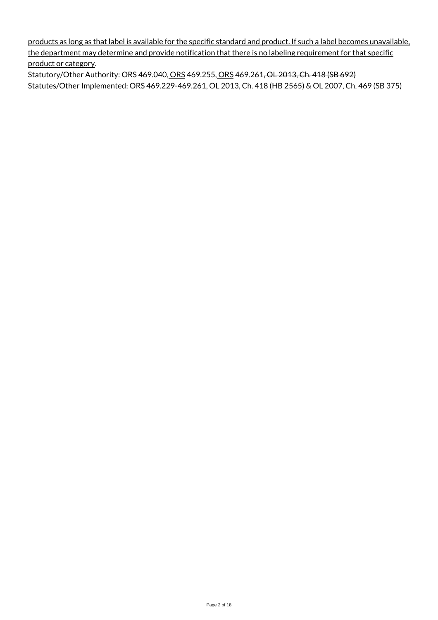products as long as that label is available for the specific standard and product. If such a label becomes unavailable, the department may determine and provide notification that there is no labeling requirement for that specific product or category.

Statutory/Other Authority: ORS 469.040, ORS 469.255, ORS 469.261, OL 2013, Ch. 418 (SB 692) Statutes/Other Implemented: ORS 469.229-469.261, OL 2013, Ch. 418 (HB 2565) & OL 2007, Ch. 469 (SB 375)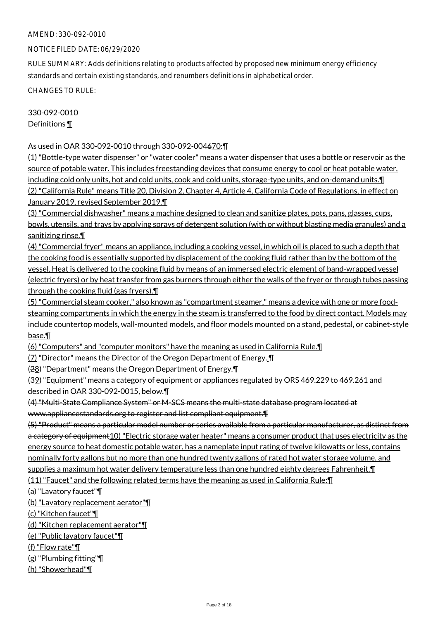#### NOTICE FILED DATE: 06/29/2020

RULE SUMMARY: Adds definitions relating to products affected by proposed new minimum energy efficiency standards and certain existing standards, and renumbers definitions in alphabetical order.

CHANGES TO RULE:

330-092-0010 Definitions ¶

As used in OAR 330-092-0010 through 330-092-004670:¶

(1) "Bottle-type water dispenser" or "water cooler" means a water dispenser that uses a bottle or reservoir as the source of potable water. This includes freestanding devices that consume energy to cool or heat potable water, including cold only units, hot and cold units, cook and cold units, storage-type units, and on-demand units.¶ (2) "California Rule" means Title 20, Division 2, Chapter 4, Article 4, California Code of Regulations, in effect on January 2019, revised September 2019.¶

(3) "Commercial dishwasher" means a machine designed to clean and sanitize plates, pots, pans, glasses, cups, bowls, utensils, and trays by applying sprays of detergent solution (with or without blasting media granules) and a sanitizing rinse.¶

(4) "Commercial fryer" means an appliance, including a cooking vessel, in which oil is placed to such a depth that the cooking food is essentially supported by displacement of the cooking fluid rather than by the bottom of the vessel. Heat is delivered to the cooking fluid by means of an immersed electric element of band-wrapped vessel (electric fryers) or by heat transfer from gas burners through either the walls of the fryer or through tubes passing through the cooking fluid (gas fryers).¶

(5) "Commercial steam cooker," also known as "compartment steamer," means a device with one or more foodsteaming compartments in which the energy in the steam is transferred to the food by direct contact. Models may include countertop models, wall-mounted models, and floor models mounted on a stand, pedestal, or cabinet-style base.¶

(6) "Computers" and "computer monitors" have the meaning as used in California Rule.¶

(7) "Director" means the Director of the Oregon Department of Energy. ¶

(28) "Department" means the Oregon Department of Energy.¶

(39) "Equipment" means a category of equipment or appliances regulated by ORS 469.229 to 469.261 and described in OAR 330-092-0015, below.¶

# (4) "Multi-State Compliance System" or M-SCS means the multi-state database program located at www.appliancestandards.org to register and list compliant equipment.¶

(5) "Product" means a particular model number or series available from a particular manufacturer, as distinct from a category of equipment10) "Electric storage water heater" means a consumer product that uses electricity as the energy source to heat domestic potable water, has a nameplate input rating of twelve kilowatts or less, contains nominally forty gallons but no more than one hundred twenty gallons of rated hot water storage volume, and supplies a maximum hot water delivery temperature less than one hundred eighty degrees Fahrenheit.¶ (11) "Faucet" and the following related terms have the meaning as used in California Rule:¶

(a) "Lavatory faucet"¶

(b) "Lavatory replacement aerator"¶

(c) "Kitchen faucet"¶

(d) "Kitchen replacement aerator"¶

(e) "Public lavatory faucet"¶

(f) "Flow rate"¶

(g) "Plumbing fitting"¶

(h) "Showerhead"¶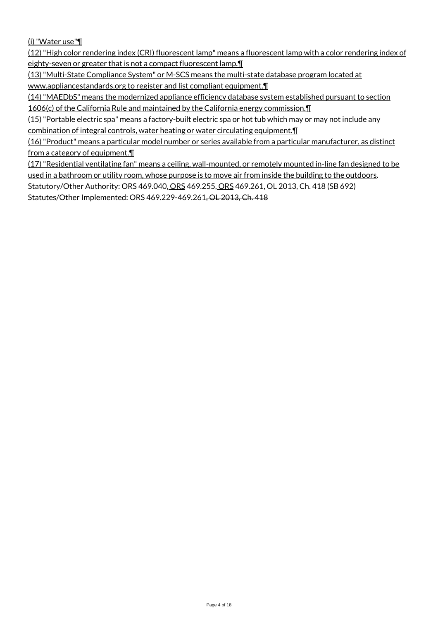(i) "Water use"¶

(12) "High color rendering index (CRI) fluorescent lamp" means a fluorescent lamp with a color rendering index of eighty-seven or greater that is not a compact fluorescent lamp.¶

(13) "Multi-State Compliance System" or M-SCS means the multi-state database program located at www.appliancestandards.org to register and list compliant equipment.¶

(14) "MAEDbS" means the modernized appliance efficiency database system established pursuant to section 1606(c) of the California Rule and maintained by the California energy commission.¶

(15) "Portable electric spa" means a factory-built electric spa or hot tub which may or may not include any combination of integral controls, water heating or water circulating equipment.¶

(16) "Product" means a particular model number or series available from a particular manufacturer, as distinct from a category of equipment.¶

(17) "Residential ventilating fan" means a ceiling, wall-mounted, or remotely mounted in-line fan designed to be used in a bathroom or utility room, whose purpose is to move air from inside the building to the outdoors.

Statutory/Other Authority: ORS 469.040, ORS 469.255, ORS 469.261, OL 2013, Ch. 418 (SB 692)

Statutes/Other Implemented: ORS 469.229-469.261, OL 2013, Ch. 418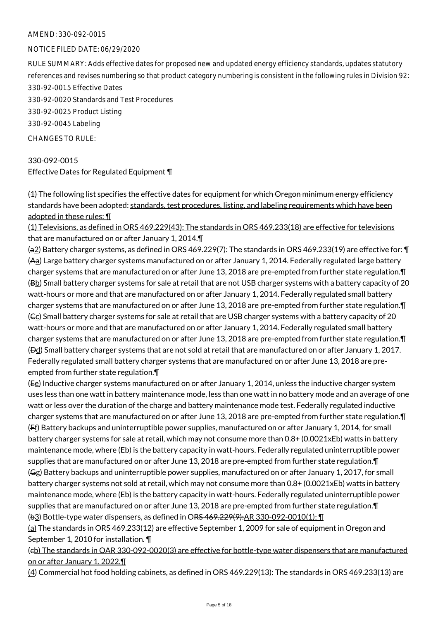#### NOTICE FILED DATE: 06/29/2020

RULE SUMMARY: Adds effective dates for proposed new and updated energy efficiency standards, updates statutory references and revises numbering so that product category numbering is consistent in the following rules in Division 92: 330-92-0015 Effective Dates

330-92-0020 Standards and Test Procedures

330-92-0025 Product Listing

330-92-0045 Labeling

CHANGES TO RULE:

330-092-0015 Effective Dates for Regulated Equipment ¶

 $(4)$  The following list specifies the effective dates for equipment for which Oregon minimum energy efficiency standards have been adopted: standards, test procedures, listing, and labeling requirements which have been adopted in these rules: ¶

(1) Televisions, as defined in ORS 469.229(43): The standards in ORS 469.233(18) are effective for televisions that are manufactured on or after January 1, 2014.¶

(a2) Battery charger systems, as defined in ORS 469.229(7): The standards in ORS 469.233(19) are effective for: ¶ (Aa) Large battery charger systems manufactured on or after January 1, 2014. Federally regulated large battery charger systems that are manufactured on or after June 13, 2018 are pre-empted from further state regulation.¶ (Bb) Small battery charger systems for sale at retail that are not USB charger systems with a battery capacity of 20 watt-hours or more and that are manufactured on or after January 1, 2014. Federally regulated small battery charger systems that are manufactured on or after June 13, 2018 are pre-empted from further state regulation.¶  $(G<sub>C</sub>)$  Small battery charger systems for sale at retail that are USB charger systems with a battery capacity of 20 watt-hours or more and that are manufactured on or after January 1, 2014. Federally regulated small battery charger systems that are manufactured on or after June 13, 2018 are pre-empted from further state regulation.¶ (Dd) Small battery charger systems that are not sold at retail that are manufactured on or after January 1, 2017. Federally regulated small battery charger systems that are manufactured on or after June 13, 2018 are preempted from further state regulation.¶

(Ee) Inductive charger systems manufactured on or after January 1, 2014, unless the inductive charger system uses less than one watt in battery maintenance mode, less than one watt in no battery mode and an average of one watt or less over the duration of the charge and battery maintenance mode test. Federally regulated inductive charger systems that are manufactured on or after June 13, 2018 are pre-empted from further state regulation.¶ (Ff) Battery backups and uninterruptible power supplies, manufactured on or after January 1, 2014, for small battery charger systems for sale at retail, which may not consume more than 0.8+ (0.0021xEb) watts in battery maintenance mode, where (Eb) is the battery capacity in watt-hours. Federally regulated uninterruptible power supplies that are manufactured on or after June 13, 2018 are pre-empted from further state regulation.¶ (Gg) Battery backups and uninterruptible power supplies, manufactured on or after January 1, 2017, for small battery charger systems not sold at retail, which may not consume more than 0.8+ (0.0021xEb) watts in battery maintenance mode, where (Eb) is the battery capacity in watt-hours. Federally regulated uninterruptible power supplies that are manufactured on or after June 13, 2018 are pre-empted from further state regulation.¶ (b3) Bottle-type water dispensers, as defined in ORS 469.229(9):AR 330-092-0010(1): ¶

(a) The standards in ORS 469.233(12) are effective September 1, 2009 for sale of equipment in Oregon and September 1, 2010 for installation. ¶

(cb) The standards in OAR 330-092-0020(3) are effective for bottle-type water dispensers that are manufactured on or after January 1, 2022.¶

(4) Commercial hot food holding cabinets, as defined in ORS 469.229(13): The standards in ORS 469.233(13) are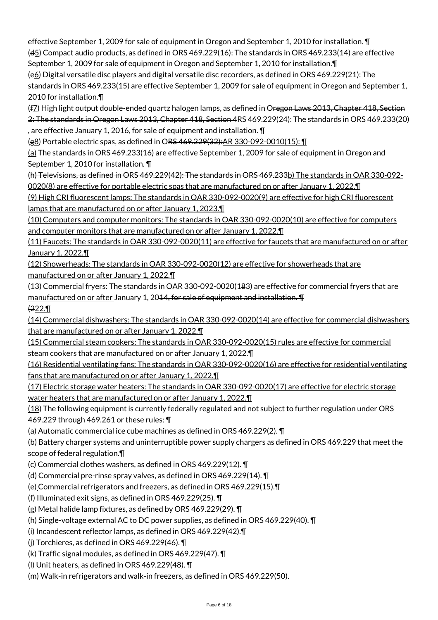effective September 1, 2009 for sale of equipment in Oregon and September 1, 2010 for installation. ¶ (d5) Compact audio products, as defined in ORS 469.229(16): The standards in ORS 469.233(14) are effective

September 1, 2009 for sale of equipment in Oregon and September 1, 2010 for installation.¶ (e6) Digital versatile disc players and digital versatile disc recorders, as defined in ORS 469.229(21): The standards in ORS 469.233(15) are effective September 1, 2009 for sale of equipment in Oregon and September 1, 2010 for installation.¶

(f<sub>Z</sub>) High light output double-ended quartz halogen lamps, as defined in Oregon Laws 2013, Chapter 418, Section 2: The standards in Oregon Laws 2013, Chapter 418, Section 4RS 469.229(24): The standards in ORS 469.233(20) , are effective January 1, 2016, for sale of equipment and installation. ¶

(g8) Portable electric spas, as defined in ORS 469.229(32):AR 330-092-0010(15): ¶

(a) The standards in ORS 469.233(16) are effective September 1, 2009 for sale of equipment in Oregon and September 1, 2010 for installation. ¶

(h) Televisions, as defined in ORS 469.229(42): The standards in ORS 469.233b) The standards in OAR 330-092- 0020(8) are effective for portable electric spas that are manufactured on or after January 1, 2022.¶

(9) High CRI fluorescent lamps: The standards in OAR 330-092-0020(9) are effective for high CRI fluorescent lamps that are manufactured on or after January 1, 2023.¶

(10) Computers and computer monitors: The standards in OAR 330-092-0020(10) are effective for computers and computer monitors that are manufactured on or after January 1, 2022.¶

(11) Faucets: The standards in OAR 330-092-0020(11) are effective for faucets that are manufactured on or after January 1, 2022.¶

(12) Showerheads: The standards in OAR 330-092-0020(12) are effective for showerheads that are manufactured on or after January 1, 2022.¶

(13) Commercial fryers: The standards in OAR 330-092-0020(183) are effective for commercial fryers that are manufactured on or after January 1, 20<del>14, for sale of equipment and installation. ¶</del>  $\sqrt{222.1}$ 

(14) Commercial dishwashers: The standards in OAR 330-092-0020(14) are effective for commercial dishwashers that are manufactured on or after January 1, 2022.¶

(15) Commercial steam cookers: The standards in OAR 330-092-0020(15) rules are effective for commercial steam cookers that are manufactured on or after January 1, 2022.

(16) Residential ventilating fans: The standards in OAR 330-092-0020(16) are effective for residential ventilating fans that are manufactured on or after January 1, 2022.¶

(17) Electric storage water heaters: The standards in OAR 330-092-0020(17) are effective for electric storage water heaters that are manufactured on or after January 1, 2022.

(18) The following equipment is currently federally regulated and not subject to further regulation under ORS 469.229 through 469.261 or these rules: ¶

(a) Automatic commercial ice cube machines as defined in ORS 469.229(2). ¶

(b) Battery charger systems and uninterruptible power supply chargers as defined in ORS 469.229 that meet the scope of federal regulation.¶

(c) Commercial clothes washers, as defined in ORS 469.229(12). ¶

(d) Commercial pre-rinse spray valves, as defined in ORS 469.229(14). ¶

(e) Commercial refrigerators and freezers, as defined in ORS 469.229(15).¶

(f) Illuminated exit signs, as defined in ORS 469.229(25). ¶

(g) Metal halide lamp fixtures, as defined by ORS 469.229(29). ¶

(h) Single-voltage external AC to DC power supplies, as defined in ORS 469.229(40). ¶

(i) Incandescent reflector lamps, as defined in ORS 469.229(42).¶

(j) Torchieres, as defined in ORS 469.229(46). ¶

(k) Traffic signal modules, as defined in ORS 469.229(47). ¶

(l) Unit heaters, as defined in ORS 469.229(48). ¶

(m) Walk-in refrigerators and walk-in freezers, as defined in ORS 469.229(50).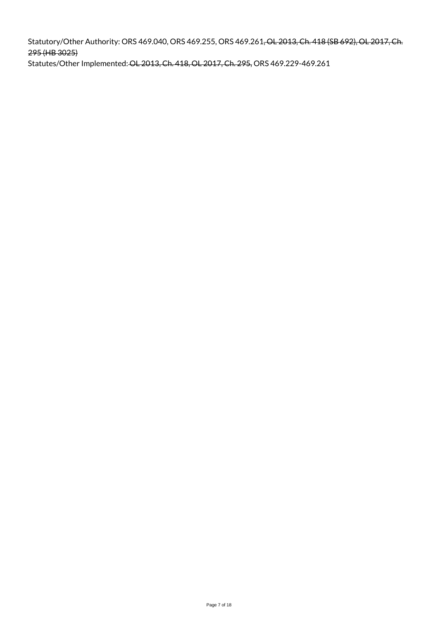Statutory/Other Authority: ORS 469.040, ORS 469.255, ORS 469.261, OL 2013, Ch. 418 (SB 692), OL 2017, Ch. 295 (HB 3025)

Statutes/Other Implemented: OL 2013, Ch. 418, OL 2017, Ch. 295, ORS 469.229-469.261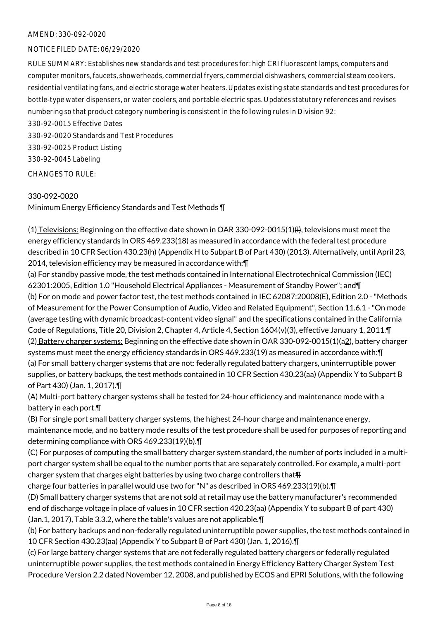#### NOTICE FILED DATE: 06/29/2020

RULE SUMMARY: Establishes new standards and test procedures for: high CRI fluorescent lamps, computers and computer monitors, faucets, showerheads, commercial fryers, commercial dishwashers, commercial steam cookers, residential ventilating fans, and electric storage water heaters. Updates existing state standards and test procedures for bottle-type water dispensers, or water coolers, and portable electric spas. Updates statutory references and revises numbering so that product category numbering is consistent in the following rules in Division 92:

330-92-0015 Effective Dates 330-92-0020 Standards and Test Procedures 330-92-0025 Product Listing 330-92-0045 Labeling

CHANGES TO RULE:

#### 330-092-0020

Minimum Energy Efficiency Standards and Test Methods ¶

(1) Televisions: Beginning on the effective date shown in OAR 330-092-0015(1)(i), televisions must meet the energy efficiency standards in ORS 469.233(18) as measured in accordance with the federal test procedure described in 10 CFR Section 430.23(h) (Appendix H to Subpart B of Part 430) (2013). Alternatively, until April 23, 2014, television efficiency may be measured in accordance with:¶

(a) For standby passive mode, the test methods contained in International Electrotechnical Commission (IEC) 62301:2005, Edition 1.0 "Household Electrical Appliances - Measurement of Standby Power"; and¶ (b) For on mode and power factor test, the test methods contained in IEC 62087:20008(E), Edition 2.0 - "Methods of Measurement for the Power Consumption of Audio, Video and Related Equipment", Section 11.6.1 - "On mode (average testing with dynamic broadcast-content video signal" and the specifications contained in the California Code of Regulations, Title 20, Division 2, Chapter 4, Article 4, Section 1604(v)(3), effective January 1, 2011.¶ (2) Battery charger systems: Beginning on the effective date shown in OAR 330-092-0015(4)(a2), battery charger systems must meet the energy efficiency standards in ORS 469.233(19) as measured in accordance with:¶ (a) For small battery charger systems that are not: federally regulated battery chargers, uninterruptible power supplies, or battery backups, the test methods contained in 10 CFR Section 430.23(aa) (Appendix Y to Subpart B of Part 430) (Jan. 1, 2017).¶

(A) Multi-port battery charger systems shall be tested for 24-hour efficiency and maintenance mode with a battery in each port.¶

(B) For single port small battery charger systems, the highest 24-hour charge and maintenance energy, maintenance mode, and no battery mode results of the test procedure shall be used for purposes of reporting and determining compliance with ORS 469.233(19)(b).¶

(C) For purposes of computing the small battery charger system standard, the number of ports included in a multiport charger system shall be equal to the number ports that are separately controlled. For example, a multi-port charger system that charges eight batteries by using two charge controllers that¶

charge four batteries in parallel would use two for "N" as described in ORS 469.233(19)(b).¶

(D) Small battery charger systems that are not sold at retail may use the battery manufacturer's recommended end of discharge voltage in place of values in 10 CFR section 420.23(aa) (Appendix Y to subpart B of part 430) (Jan.1, 2017), Table 3.3.2, where the table's values are not applicable.¶

(b) For battery backups and non-federally regulated uninterruptible power supplies, the test methods contained in 10 CFR Section 430.23(aa) (Appendix Y to Subpart B of Part 430) (Jan. 1, 2016).¶

(c) For large battery charger systems that are not federally regulated battery chargers or federally regulated uninterruptible power supplies, the test methods contained in Energy Efficiency Battery Charger System Test Procedure Version 2.2 dated November 12, 2008, and published by ECOS and EPRI Solutions, with the following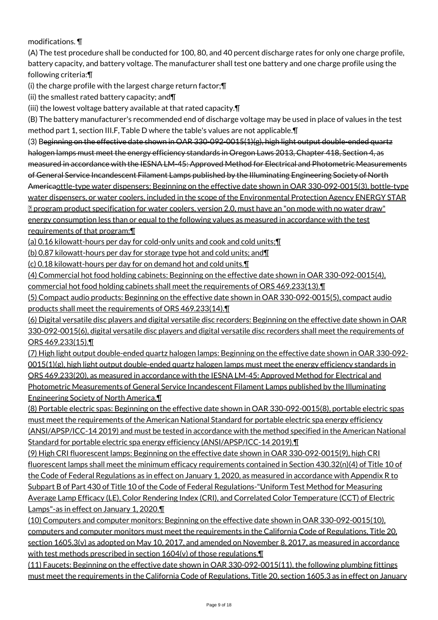# modifications. ¶

(A) The test procedure shall be conducted for 100, 80, and 40 percent discharge rates for only one charge profile, battery capacity, and battery voltage. The manufacturer shall test one battery and one charge profile using the following criteria:¶

(i) the charge profile with the largest charge return factor;¶

(ii) the smallest rated battery capacity; and¶

(iii) the lowest voltage battery available at that rated capacity.¶

(B) The battery manufacturer's recommended end of discharge voltage may be used in place of values in the test method part 1, section III.F, Table D where the table's values are not applicable.¶

(3) Beginning on the effective date shown in OAR 330-092-0015(1)(g), high light output double-ended quartz halogen lamps must meet the energy efficiency standards in Oregon Laws 2013, Chapter 418, Section 4, as measured in accordance with the IESNA LM-45: Approved Method for Electrical and Photometric Measurements of General Service Incandescent Filament Lamps published by the Illuminating Engineering Society of North Americaottle-type water dispensers: Beginning on the effective date shown in OAR 330-092-0015(3), bottle-type water dispensers, or water coolers, included in the scope of the Environmental Protection Agency ENERGY STAR program product specification for water coolers, version 2.0, must have an "on mode with no water draw" energy consumption less than or equal to the following values as measured in accordance with the test requirements of that program:¶

(a) 0.16 kilowatt-hours per day for cold-only units and cook and cold units;¶

(b) 0.87 kilowatt-hours per day for storage type hot and cold units; and¶

(c) 0.18 kilowatt-hours per day for on demand hot and cold units.¶

(4) Commercial hot food holding cabinets: Beginning on the effective date shown in OAR 330-092-0015(4), commercial hot food holding cabinets shall meet the requirements of ORS 469.233(13).¶

(5) Compact audio products: Beginning on the effective date shown in OAR 330-092-0015(5), compact audio products shall meet the requirements of ORS 469.233(14).¶

(6) Digital versatile disc players and digital versatile disc recorders: Beginning on the effective date shown in OAR 330-092-0015(6), digital versatile disc players and digital versatile disc recorders shall meet the requirements of ORS 469.233(15).¶

(7) High light output double-ended quartz halogen lamps: Beginning on the effective date shown in OAR 330-092- 0015(1)(g), high light output double-ended quartz halogen lamps must meet the energy efficiency standards in ORS 469.233(20), as measured in accordance with the IESNA LM-45: Approved Method for Electrical and Photometric Measurements of General Service Incandescent Filament Lamps published by the Illuminating Engineering Society of North America.¶

(8) Portable electric spas: Beginning on the effective date shown in OAR 330-092-0015(8), portable electric spas must meet the requirements of the American National Standard for portable electric spa energy efficiency (ANSI/APSP/ICC-14 2019) and must be tested in accordance with the method specified in the American National Standard for portable electric spa energy efficiency (ANSI/APSP/ICC-14 2019).¶

(9) High CRI fluorescent lamps: Beginning on the effective date shown in OAR 330-092-0015(9), high CRI fluorescent lamps shall meet the minimum efficacy requirements contained in Section 430.32(n)(4) of Title 10 of the Code of Federal Regulations as in effect on January 1, 2020, as measured in accordance with Appendix R to Subpart B of Part 430 of Title 10 of the Code of Federal Regulations-"Uniform Test Method for Measuring Average Lamp Efficacy (LE), Color Rendering Index (CRI), and Correlated Color Temperature (CCT) of Electric Lamps"-as in effect on January 1, 2020.¶

(10) Computers and computer monitors: Beginning on the effective date shown in OAR 330-092-0015(10), computers and computer monitors must meet the requirements in the California Code of Regulations, Title 20, section 1605.3(v) as adopted on May 10, 2017, and amended on November 8, 2017, as measured in accordance with test methods prescribed in section 1604(v) of those regulations.

(11) Faucets: Beginning on the effective date shown in OAR 330-092-0015(11), the following plumbing fittings must meet the requirements in the California Code of Regulations, Title 20, section 1605.3 as in effect on January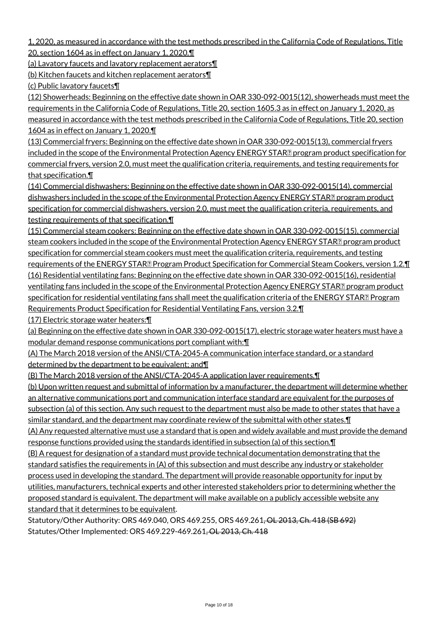1, 2020, as measured in accordance with the test methods prescribed in the California Code of Regulations, Title 20, section 1604 as in effect on January 1, 2020.¶

(a) Lavatory faucets and lavatory replacement aerators¶

(b) Kitchen faucets and kitchen replacement aerators¶

(c) Public lavatory faucets¶

(12) Showerheads: Beginning on the effective date shown in OAR 330-092-0015(12), showerheads must meet the requirements in the California Code of Regulations, Title 20, section 1605.3 as in effect on January 1, 2020, as measured in accordance with the test methods prescribed in the California Code of Regulations, Title 20, section 1604 as in effect on January 1, 2020.

(13) Commercial fryers: Beginning on the effective date shown in OAR 330-092-0015(13), commercial fryers included in the scope of the Environmental Protection Agency ENERGY STAR<sup>[2]</sup> program product specification for commercial fryers, version 2.0, must meet the qualification criteria, requirements, and testing requirements for that specification.¶

(14) Commercial dishwashers: Beginning on the effective date shown in OAR 330-092-0015(14), commercial dishwashers included in the scope of the Environmental Protection Agency ENERGY STAR[2] program product specification for commercial dishwashers, version 2.0, must meet the qualification criteria, requirements, and testing requirements of that specification.¶

(15) Commercial steam cookers: Beginning on the effective date shown in OAR 330-092-0015(15), commercial steam cookers included in the scope of the Environmental Protection Agency ENERGY STAR<sup>[2]</sup> program product specification for commercial steam cookers must meet the qualification criteria, requirements, and testing requirements of the ENERGY STAR<sub>R</sub> Program Product Specification for Commercial Steam Cookers, version 1.2. The (16) Residential ventilating fans: Beginning on the effective date shown in OAR 330-092-0015(16), residential ventilating fans included in the scope of the Environmental Protection Agency ENERGY STAR<sup>[2]</sup> program product specification for residential ventilating fans shall meet the qualification criteria of the ENERGY STAR<sub>2</sub> Program Requirements Product Specification for Residential Ventilating Fans, version 3.2.¶

(17) Electric storage water heaters:¶

(a) Beginning on the effective date shown in OAR 330-092-0015(17), electric storage water heaters must have a modular demand response communications port compliant with:¶

(A) The March 2018 version of the ANSI/CTA-2045-A communication interface standard, or a standard determined by the department to be equivalent; and¶

(B) The March 2018 version of the ANSI/CTA-2045-A application layer requirements.¶

(b) Upon written request and submittal of information by a manufacturer, the department will determine whether an alternative communications port and communication interface standard are equivalent for the purposes of subsection (a) of this section. Any such request to the department must also be made to other states that have a similar standard, and the department may coordinate review of the submittal with other states. I

(A) Any requested alternative must use a standard that is open and widely available and must provide the demand response functions provided using the standards identified in subsection (a) of this section.¶

(B) A request for designation of a standard must provide technical documentation demonstrating that the standard satisfies the requirements in (A) of this subsection and must describe any industry or stakeholder process used in developing the standard. The department will provide reasonable opportunity for input by utilities, manufacturers, technical experts and other interested stakeholders prior to determining whether the proposed standard is equivalent. The department will make available on a publicly accessible website any standard that it determines to be equivalent.

Statutory/Other Authority: ORS 469.040, ORS 469.255, ORS 469.261<del>, OL 2013, Ch. 418 (SB 692)</del> Statutes/Other Implemented: ORS 469.229-469.261, OL 2013, Ch. 418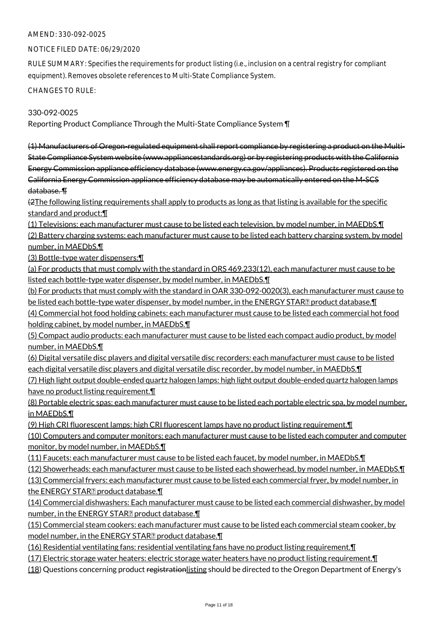#### NOTICE FILED DATE: 06/29/2020

RULE SUMMARY: Specifies the requirements for product listing (i.e., inclusion on a central registry for compliant equipment). Removes obsolete references to Multi-State Compliance System.

CHANGES TO RULE:

330-092-0025

Reporting Product Compliance Through the Multi-State Compliance System ¶

(1) Manufacturers of Oregon-regulated equipment shall report compliance by registering a product on the Multi-State Compliance System website (www.appliancestandards.org) or by registering products with the California Energy Commission appliance efficiency database (www.energy.ca.gov/appliances). Products registered on the California Energy Commission appliance efficiency database may be automatically entered on the M-SCS database. ¶

(2The following listing requirements shall apply to products as long as that listing is available for the specific standard and product:¶

(1) Televisions: each manufacturer must cause to be listed each television, by model number, in MAEDbS.¶ (2) Battery charging systems: each manufacturer must cause to be listed each battery charging system, by model number, in MAEDbS.¶

(3) Bottle-type water dispensers:¶

(a) For products that must comply with the standard in ORS 469.233(12), each manufacturer must cause to be listed each bottle-type water dispenser, by model number, in MAEDbS.¶

(b) For products that must comply with the standard in OAR 330-092-0020(3), each manufacturer must cause to be listed each bottle-type water dispenser, by model number, in the ENERGY STAR**?** product database. I

(4) Commercial hot food holding cabinets: each manufacturer must cause to be listed each commercial hot food holding cabinet, by model number, in MAEDbS.¶

(5) Compact audio products: each manufacturer must cause to be listed each compact audio product, by model number, in MAEDbS.¶

(6) Digital versatile disc players and digital versatile disc recorders: each manufacturer must cause to be listed each digital versatile disc players and digital versatile disc recorder, by model number, in MAEDbS.¶

(7) High light output double-ended quartz halogen lamps: high light output double-ended quartz halogen lamps have no product listing requirement.¶

(8) Portable electric spas: each manufacturer must cause to be listed each portable electric spa, by model number, in MAEDbS.¶

(9) High CRI fluorescent lamps: high CRI fluorescent lamps have no product listing requirement.¶

(10) Computers and computer monitors: each manufacturer must cause to be listed each computer and computer monitor, by model number, in MAEDbS.¶

(11) Faucets: each manufacturer must cause to be listed each faucet, by model number, in MAEDbS.¶

(12) Showerheads: each manufacturer must cause to be listed each showerhead, by model number, in MAEDbS.¶

(13) Commercial fryers: each manufacturer must cause to be listed each commercial fryer, by model number, in the ENERGY STAR $\mathbb P$  product database. $\P$ 

(14) Commercial dishwashers: Each manufacturer must cause to be listed each commercial dishwasher, by model number, in the ENERGY STAR<sup>2</sup> product database.

(15) Commercial steam cookers: each manufacturer must cause to be listed each commercial steam cooker, by model number, in the ENERGY STAR $\mathbb Z$  product database. $\P$ 

(16) Residential ventilating fans: residential ventilating fans have no product listing requirement.¶

(17) Electric storage water heaters: electric storage water heaters have no product listing requirement.¶

(18) Questions concerning product registrationlisting should be directed to the Oregon Department of Energy's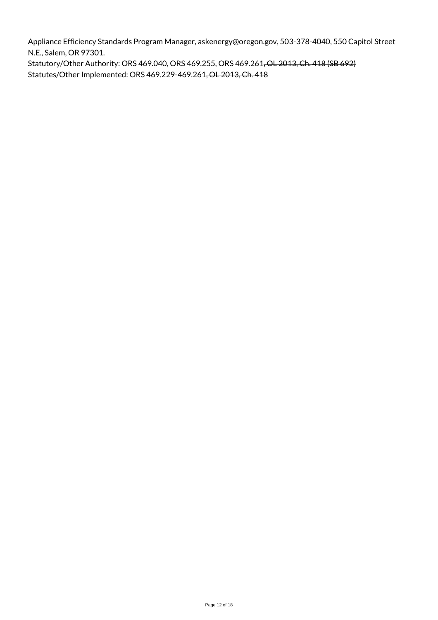Appliance Efficiency Standards Program Manager, askenergy@oregon.gov, 503-378-4040, 550 Capitol Street N.E., Salem, OR 97301.

Statutory/Other Authority: ORS 469.040, ORS 469.255, ORS 469.261, OL 2013, Ch. 418 (SB 692) Statutes/Other Implemented: ORS 469.229-469.261, OL 2013, Ch. 418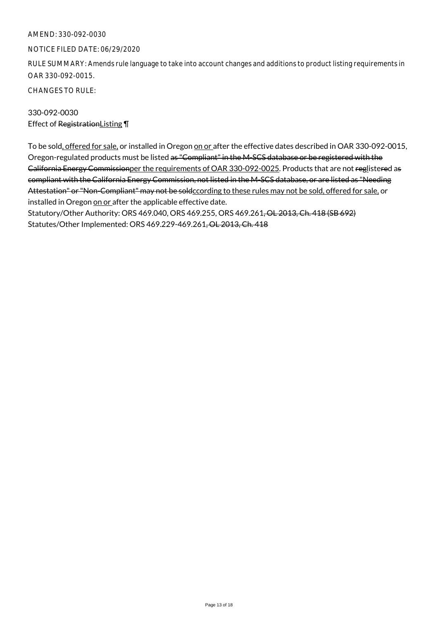#### NOTICE FILED DATE: 06/29/2020

RULE SUMMARY: Amends rule language to take into account changes and additions to product listing requirements in OAR 330-092-0015.

CHANGES TO RULE:

330-092-0030 Effect of RegistrationListing \[

To be sold, offered for sale, or installed in Oregon on or after the effective dates described in OAR 330-092-0015, Oregon-regulated products must be listed as "Compliant" in the M-SCS database or be registered with the California Energy Commissionper the requirements of OAR 330-092-0025. Products that are not reglistered as compliant with the California Energy Commission, not listed in the M-SCS database, or are listed as "Needing Attestation" or "Non-Compliant" may not be soldccording to these rules may not be sold, offered for sale, or installed in Oregon on or after the applicable effective date.

Statutory/Other Authority: ORS 469.040, ORS 469.255, ORS 469.261, OL 2013, Ch. 418 (SB 692) Statutes/Other Implemented: ORS 469.229-469.261, OL 2013, Ch. 418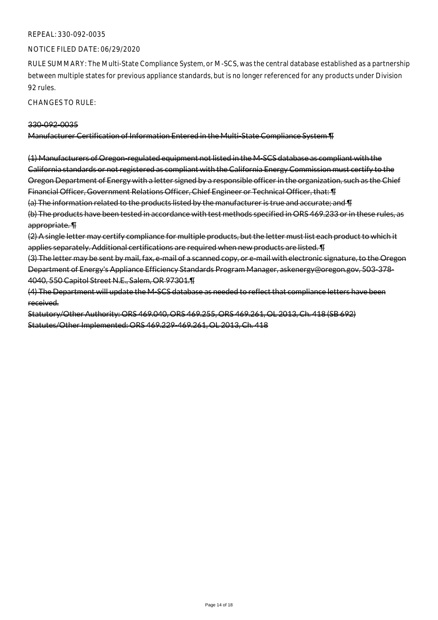#### REPEAL: 330-092-0035

#### NOTICE FILED DATE: 06/29/2020

RULE SUMMARY: The Multi-State Compliance System, or M-SCS, was the central database established as a partnership between multiple states for previous appliance standards, but is no longer referenced for any products under Division 92 rules.

CHANGES TO RULE:

#### 330-092-0035

Manufacturer Certification of Information Entered in the Multi-State Compliance System ¶

(1) Manufacturers of Oregon-regulated equipment not listed in the M-SCS database as compliant with the California standards or not registered as compliant with the California Energy Commission must certify to the Oregon Department of Energy with a letter signed by a responsible officer in the organization, such as the Chief Financial Officer, Government Relations Officer, Chief Engineer or Technical Officer, that: ¶

(a) The information related to the products listed by the manufacturer is true and accurate; and ¶

(b) The products have been tested in accordance with test methods specified in ORS 469.233 or in these rules, as appropriate. ¶

(2) A single letter may certify compliance for multiple products, but the letter must list each product to which it applies separately. Additional certifications are required when new products are listed. ¶

(3) The letter may be sent by mail, fax, e-mail of a scanned copy, or e-mail with electronic signature, to the Oregon Department of Energy's Appliance Efficiency Standards Program Manager, askenergy@oregon.gov, 503-378- 4040, 550 Capitol Street N.E., Salem, OR 97301.¶

(4) The Department will update the M-SCS database as needed to reflect that compliance letters have been received.

Statutory/Other Authority: ORS 469.040, ORS 469.255, ORS 469.261, OL 2013, Ch. 418 (SB 692) Statutes/Other Implemented: ORS 469.229-469.261, OL 2013, Ch. 418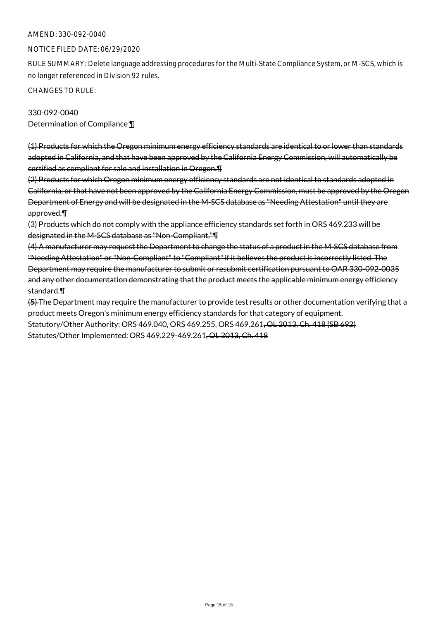#### NOTICE FILED DATE: 06/29/2020

RULE SUMMARY: Delete language addressing procedures for the Multi-State Compliance System, or M-SCS, which is no longer referenced in Division 92 rules.

CHANGES TO RULE:

# 330-092-0040 Determination of Compliance ¶

(1) Products for which the Oregon minimum energy efficiency standards are identical to or lower than standards adopted in California, and that have been approved by the California Energy Commission, will automatically be certified as compliant for sale and installation in Oregon.¶

(2) Products for which Oregon minimum energy efficiency standards are not identical to standards adopted in California, or that have not been approved by the California Energy Commission, must be approved by the Oregon Department of Energy and will be designated in the M-SCS database as "Needing Attestation" until they are approved.¶

(3) Products which do not comply with the appliance efficiency standards set forth in ORS 469.233 will be designated in the M-SCS database as "Non-Compliant."¶

(4) A manufacturer may request the Department to change the status of a product in the M-SCS database from "Needing Attestation" or "Non-Compliant" to "Compliant" if it believes the product is incorrectly listed. The Department may require the manufacturer to submit or resubmit certification pursuant to OAR 330-092-0035 and any other documentation demonstrating that the product meets the applicable minimum energy efficiency standard.¶

(5) The Department may require the manufacturer to provide test results or other documentation verifying that a product meets Oregon's minimum energy efficiency standards for that category of equipment. Statutory/Other Authority: ORS 469.040, ORS 469.255, ORS 469.261, OL 2013, Ch. 418 (SB 692) Statutes/Other Implemented: ORS 469.229-469.261, OL 2013, Ch. 418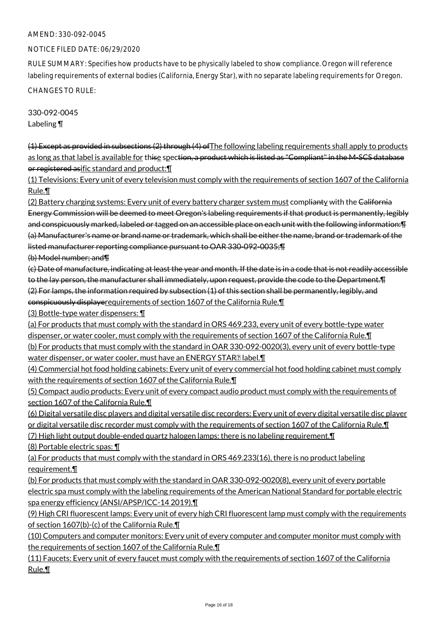#### NOTICE FILED DATE: 06/29/2020

RULE SUMMARY: Specifies how products have to be physically labeled to show compliance. Oregon will reference labeling requirements of external bodies (California, Energy Star), with no separate labeling requirements for Oregon.

CHANGES TO RULE:

330-092-0045 Labeling ¶

(1) Except as provided in subsections (2) through (4) ofThe following labeling requirements shall apply to products as long as that label is available for thise spection, a product which is listed as "Compliant" in the M-SCS database or registered asific standard and product:¶

(1) Televisions: Every unit of every television must comply with the requirements of section 1607 of the California Rule.¶

(2) Battery charging systems: Every unit of every battery charger system must complianty with the California Energy Commission will be deemed to meet Oregon's labeling requirements if that product is permanently, legibly and conspicuously marked, labeled or tagged on an accessible place on each unit with the following information:¶ (a) Manufacturer's name or brand name or trademark, which shall be either the name, brand or trademark of the listed manufacturer reporting compliance pursuant to OAR 330-092-0035;¶

(b) Model number; and¶

(c) Date of manufacture, indicating at least the year and month. If the date is in a code that is not readily accessible to the lay person, the manufacturer shall immediately, upon request, provide the code to the Department.¶ (2) For lamps, the information required by subsection (1) of this section shall be permanently, legibly, and conspicuously displayerequirements of section 1607 of the California Rule.¶

(3) Bottle-type water dispensers: ¶

(a) For products that must comply with the standard in ORS 469.233, every unit of every bottle-type water dispenser, or water cooler, must comply with the requirements of section 1607 of the California Rule.¶

(b) For products that must comply with the standard in OAR 330-092-0020(3), every unit of every bottle-type water dispenser, or water cooler, must have an ENERGY STAR<sup>[2]</sup> label.

(4) Commercial hot food holding cabinets: Every unit of every commercial hot food holding cabinet must comply with the requirements of section 1607 of the California Rule. II

(5) Compact audio products: Every unit of every compact audio product must comply with the requirements of section 1607 of the California Rule.¶

(6) Digital versatile disc players and digital versatile disc recorders: Every unit of every digital versatile disc player or digital versatile disc recorder must comply with the requirements of section 1607 of the California Rule. I

(7) High light output double-ended quartz halogen lamps: there is no labeling requirement.¶

(8) Portable electric spas: ¶

(a) For products that must comply with the standard in ORS 469.233(16), there is no product labeling requirement.¶

(b) For products that must comply with the standard in OAR 330-092-0020(8), every unit of every portable electric spa must comply with the labeling requirements of the American National Standard for portable electric spa energy efficiency (ANSI/APSP/ICC-14 2019).¶

(9) High CRI fluorescent lamps: Every unit of every high CRI fluorescent lamp must comply with the requirements of section 1607(b)-(c) of the California Rule.¶

(10) Computers and computer monitors: Every unit of every computer and computer monitor must comply with the requirements of section 1607 of the California Rule.¶

(11) Faucets: Every unit of every faucet must comply with the requirements of section 1607 of the California Rule.¶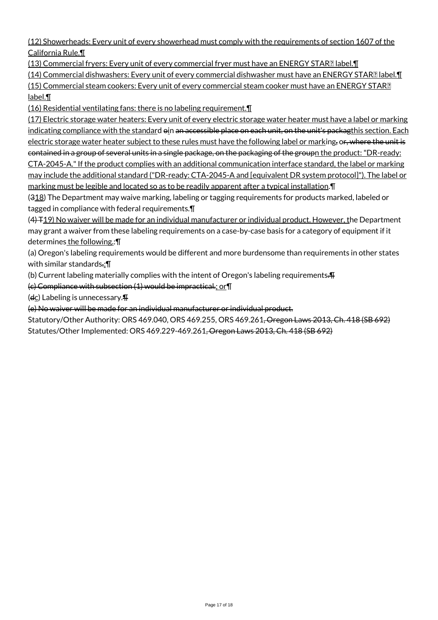(12) Showerheads: Every unit of every showerhead must comply with the requirements of section 1607 of the California Rule.¶

(13) Commercial fryers: Every unit of every commercial fryer must have an ENERGY STAR? label.

(14) Commercial dishwashers: Every unit of every commercial dishwasher must have an ENERGY STAR<sup>[2]</sup> label.<sup>1</sup> (15) Commercial steam cookers: Every unit of every commercial steam cooker must have an ENERGY STAR label.¶

(16) Residential ventilating fans: there is no labeling requirement.¶

(17) Electric storage water heaters: Every unit of every electric storage water heater must have a label or marking indicating compliance with the standard  $\Theta$ in an accessible place on each unit, on the unit's packagthis section. Each electric storage water heater subject to these rules must have the following label or marking, or, where the unit is contained in a group of several units in a single package, on the packaging of the groupn the product: "DR-ready: CTA-2045-A." If the product complies with an additional communication interface standard, the label or marking may include the additional standard ("DR-ready: CTA-2045-A and [equivalent DR system protocol]"). The label or marking must be legible and located so as to be readily apparent after a typical installation.¶

(318) The Department may waive marking, labeling or tagging requirements for products marked, labeled or tagged in compliance with federal requirements.¶

(4) T19) No waiver will be made for an individual manufacturer or individual product. However, the Department may grant a waiver from these labeling requirements on a case-by-case basis for a category of equipment if it determines the following.:¶

(a) Oregon's labeling requirements would be different and more burdensome than requirements in other states with similar standards.;¶

(b) Current labeling materially complies with the intent of Oregon's labeling requirements.¶

(c) Compliance with subsection (1) would be impractical.; or¶

 $(d_{\mathsf{C}})$  Labeling is unnecessary. $\P$ 

(e) No waiver will be made for an individual manufacturer or individual product.

Statutory/Other Authority: ORS 469.040, ORS 469.255, ORS 469.261, Oregon Laws 2013, Ch. 418 (SB 692) Statutes/Other Implemented: ORS 469.229-469.261, Oregon Laws 2013, Ch. 418 (SB 692)